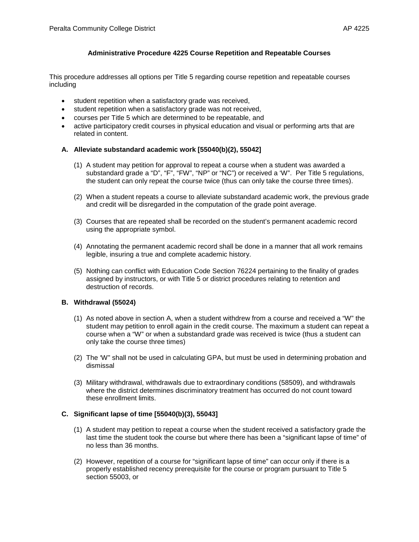# **Administrative Procedure 4225 Course Repetition and Repeatable Courses**

This procedure addresses all options per Title 5 regarding course repetition and repeatable courses including

- student repetition when a satisfactory grade was received,
- student repetition when a satisfactory grade was not received,
- courses per Title 5 which are determined to be repeatable, and
- active participatory credit courses in physical education and visual or performing arts that are related in content.

### **A. Alleviate substandard academic work [55040(b)(2), 55042]**

- (1) A student may petition for approval to repeat a course when a student was awarded a substandard grade a "D", "F", "FW", "NP" or "NC") or received a 'W". Per Title 5 regulations, the student can only repeat the course twice (thus can only take the course three times).
- (2) When a student repeats a course to alleviate substandard academic work, the previous grade and credit will be disregarded in the computation of the grade point average.
- (3) Courses that are repeated shall be recorded on the student's permanent academic record using the appropriate symbol.
- (4) Annotating the permanent academic record shall be done in a manner that all work remains legible, insuring a true and complete academic history.
- (5) Nothing can conflict with Education Code Section 76224 pertaining to the finality of grades assigned by instructors, or with Title 5 or district procedures relating to retention and destruction of records.

## **B. Withdrawal (55024)**

- (1) As noted above in section A, when a student withdrew from a course and received a "W" the student may petition to enroll again in the credit course. The maximum a student can repeat a course when a "W" or when a substandard grade was received is twice (thus a student can only take the course three times)
- (2) The 'W" shall not be used in calculating GPA, but must be used in determining probation and dismissal
- (3) Military withdrawal, withdrawals due to extraordinary conditions (58509), and withdrawals where the district determines discriminatory treatment has occurred do not count toward these enrollment limits.

## **C. Significant lapse of time [55040(b)(3), 55043]**

- (1) A student may petition to repeat a course when the student received a satisfactory grade the last time the student took the course but where there has been a "significant lapse of time" of no less than 36 months.
- (2) However, repetition of a course for "significant lapse of time" can occur only if there is a properly established recency prerequisite for the course or program pursuant to Title 5 section 55003, or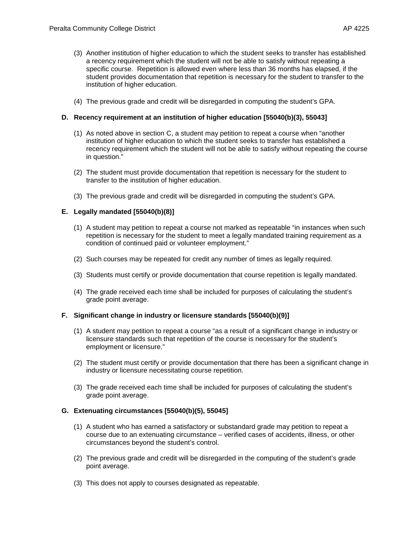- (3) Another institution of higher education to which the student seeks to transfer has established a recency requirement which the student will not be able to satisfy without repeating a specific course. Repetition is allowed even where less than 36 months has elapsed, if the student provides documentation that repetition is necessary for the student to transfer to the institution of higher education.
- (4) The previous grade and credit will be disregarded in computing the student's GPA.

### **D. Recency requirement at an institution of higher education [55040(b)(3), 55043]**

- (1) As noted above in section C, a student may petition to repeat a course when "another institution of higher education to which the student seeks to transfer has established a recency requirement which the student will not be able to satisfy without repeating the course in question."
- (2) The student must provide documentation that repetition is necessary for the student to transfer to the institution of higher education.
- (3) The previous grade and credit will be disregarded in computing the student's GPA.

### **E. Legally mandated [55040(b)(8)]**

- (1) A student may petition to repeat a course not marked as repeatable "in instances when such repetition is necessary for the student to meet a legally mandated training requirement as a condition of continued paid or volunteer employment."
- (2) Such courses may be repeated for credit any number of times as legally required.
- (3) Students must certify or provide documentation that course repetition is legally mandated.
- (4) The grade received each time shall be included for purposes of calculating the student's grade point average.

#### **F. Significant change in industry or licensure standards [55040(b)(9)]**

- (1) A student may petition to repeat a course "as a result of a significant change in industry or licensure standards such that repetition of the course is necessary for the student's employment or licensure."
- (2) The student must certify or provide documentation that there has been a significant change in industry or licensure necessitating course repetition.
- (3) The grade received each time shall be included for purposes of calculating the student's grade point average.

### **G. Extenuating circumstances [55040(b)(5), 55045]**

- (1) A student who has earned a satisfactory or substandard grade may petition to repeat a course due to an extenuating circumstance – verified cases of accidents, illness, or other circumstances beyond the student's control.
- (2) The previous grade and credit will be disregarded in the computing of the student's grade point average.
- (3) This does not apply to courses designated as repeatable.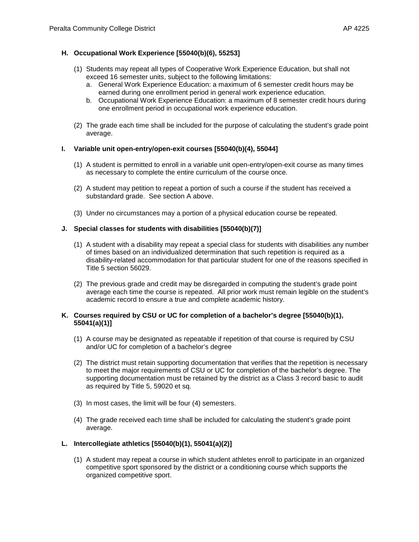# **H. Occupational Work Experience [55040(b)(6), 55253]**

- (1) Students may repeat all types of Cooperative Work Experience Education, but shall not exceed 16 semester units, subject to the following limitations:
	- a. General Work Experience Education: a maximum of 6 semester credit hours may be earned during one enrollment period in general work experience education.
	- b. Occupational Work Experience Education: a maximum of 8 semester credit hours during one enrollment period in occupational work experience education.
- (2) The grade each time shall be included for the purpose of calculating the student's grade point average.

## **I. Variable unit open-entry/open-exit courses [55040(b)(4), 55044]**

- (1) A student is permitted to enroll in a variable unit open-entry/open-exit course as many times as necessary to complete the entire curriculum of the course once.
- (2) A student may petition to repeat a portion of such a course if the student has received a substandard grade. See section A above.
- (3) Under no circumstances may a portion of a physical education course be repeated.

### **J. Special classes for students with disabilities [55040(b)(7)]**

- (1) A student with a disability may repeat a special class for students with disabilities any number of times based on an individualized determination that such repetition is required as a disability-related accommodation for that particular student for one of the reasons specified in Title 5 section 56029.
- (2) The previous grade and credit may be disregarded in computing the student's grade point average each time the course is repeated. All prior work must remain legible on the student's academic record to ensure a true and complete academic history.

### **K. Courses required by CSU or UC for completion of a bachelor's degree [55040(b)(1), 55041(a)(1)]**

- (1) A course may be designated as repeatable if repetition of that course is required by CSU and/or UC for completion of a bachelor's degree
- (2) The district must retain supporting documentation that verifies that the repetition is necessary to meet the major requirements of CSU or UC for completion of the bachelor's degree. The supporting documentation must be retained by the district as a Class 3 record basic to audit as required by Title 5, 59020 et sq.
- (3) In most cases, the limit will be four (4) semesters.
- (4) The grade received each time shall be included for calculating the student's grade point average.

## **L. Intercollegiate athletics [55040(b)(1), 55041(a)(2)]**

(1) A student may repeat a course in which student athletes enroll to participate in an organized competitive sport sponsored by the district or a conditioning course which supports the organized competitive sport.